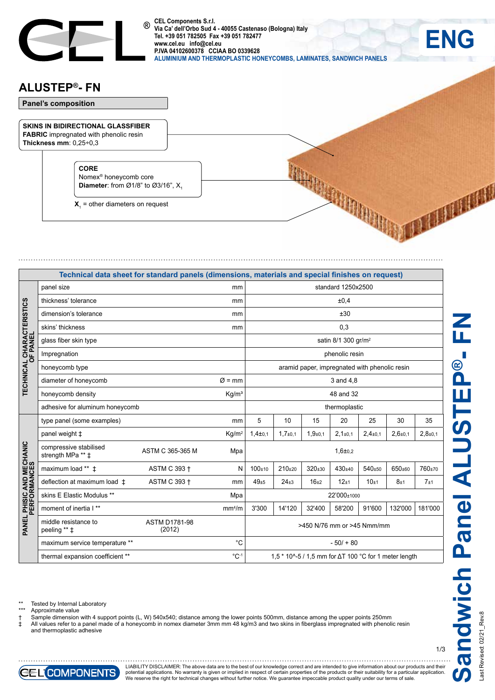

**CEL Components S.r.l.**  ® **Via Ca' dell'Orbo Sud 4 - 40055 Castenaso (Bologna) Italy Tel. +39 051 782505 Fax +39 051 782477 www.cel.eu info@cel.eu P.IVA 04102600378 CCIAA BO 0339628 ALUMINIUM AND THERMOPLASTIC HONEYCOMBS, LAMINATES, SANDWICH PANELS**

## **ALUSTEP®- FN**



| Technical data sheet for standard panels (dimensions, materials and special finishes on request) |                                               |                                |                    |                                                       |                 |                                               |                                 |           |                 |                 |
|--------------------------------------------------------------------------------------------------|-----------------------------------------------|--------------------------------|--------------------|-------------------------------------------------------|-----------------|-----------------------------------------------|---------------------------------|-----------|-----------------|-----------------|
| <b>TECHNICAL CHARACTERISTICS</b><br>OF PANEL                                                     | panel size<br>mm                              |                                | standard 1250x2500 |                                                       |                 |                                               |                                 |           |                 |                 |
|                                                                                                  | thickness' tolerance                          |                                | mm                 | ±0,4                                                  |                 |                                               |                                 |           |                 |                 |
|                                                                                                  | dimension's tolerance                         |                                | mm                 | ±30                                                   |                 |                                               |                                 |           |                 |                 |
|                                                                                                  | skins' thickness                              |                                | mm                 |                                                       |                 |                                               | 0,3                             |           |                 |                 |
|                                                                                                  | glass fiber skin type                         |                                |                    |                                                       |                 |                                               | satin 8/1 300 gr/m <sup>2</sup> |           |                 |                 |
|                                                                                                  | Impregnation                                  |                                | phenolic resin     |                                                       |                 |                                               |                                 |           |                 |                 |
|                                                                                                  | honeycomb type                                |                                |                    |                                                       |                 | aramid paper, impregnated with phenolic resin |                                 |           |                 |                 |
|                                                                                                  | diameter of honeycomb                         |                                | $\varnothing$ = mm | 3 and 4,8                                             |                 |                                               |                                 |           |                 |                 |
|                                                                                                  | honeycomb density<br>Kg/m <sup>3</sup>        |                                | 48 and 32          |                                                       |                 |                                               |                                 |           |                 |                 |
|                                                                                                  | adhesive for aluminum honeycomb               |                                | thermoplastic      |                                                       |                 |                                               |                                 |           |                 |                 |
| PANEL PHISIC AND MECHANIC<br>PERFORMANCES                                                        | type panel (some examples)                    |                                | mm                 | 5                                                     | 10              | 15                                            | 20                              | 25        | 30              | 35              |
|                                                                                                  | panel weight ±                                |                                | Kg/m <sup>2</sup>  | $1,4+0,1$                                             | $1,7_{\pm 0,1}$ | $1,9+0,1$                                     | $2,1+0,1$                       | $2,4+0,1$ | $2,6+0,1$       | $2,8+0,1$       |
|                                                                                                  | compressive stabilised<br>strength MPa ** ‡   | ASTM C 365-365 M               | Mpa                | $1,6 + 0.2$                                           |                 |                                               |                                 |           |                 |                 |
|                                                                                                  | maximum load ** $\pm$                         | ASTM C 393 +                   | N                  | $100+10$                                              | $210+20$        | $320+30$                                      | $430+40$                        | 540±50    | 650±60          | 760±70          |
|                                                                                                  | deflection at maximum load $\pm$              | ASTM C 393 +                   | mm                 | 49 <sub>±5</sub>                                      | $24_{\pm 3}$    | 16±2                                          | 12±1                            | 10±1      | 8 <sub>±1</sub> | 7 <sub>±1</sub> |
|                                                                                                  | skins E Elastic Modulus **                    |                                | Mpa                | 22'000±1000                                           |                 |                                               |                                 |           |                 |                 |
|                                                                                                  | moment of inertia I**                         |                                | mm <sup>4</sup> /m | 3'300                                                 | 14'120          | 32'400                                        | 58'200                          | 91'600    | 132'000         | 181'000         |
|                                                                                                  | middle resistance to<br>peeling ** ±          | <b>ASTM D1781-98</b><br>(2012) |                    | >450 N/76 mm or >45 Nmm/mm                            |                 |                                               |                                 |           |                 |                 |
|                                                                                                  | $^{\circ}C$<br>maximum service temperature ** |                                | $-50/ + 80$        |                                                       |                 |                                               |                                 |           |                 |                 |
|                                                                                                  | thermal expansion coefficient **              |                                | $^{\circ}$ C-1     | 1,5 * 10^-5 / 1,5 mm for ∆T 100 °C for 1 meter length |                 |                                               |                                 |           |                 |                 |

\*\* Tested by Internal Laboratory

**CEL COMPONENTS** 

Approximate value

† Sample dimension with 4 support points (L, W) 540x540; distance among the lower points 500mm, distance among the upper points 250mm

‡ All values refer to a panel made of a honeycomb in nomex diameter 3mm mm 48 kg/m3 and two skins in fiberglass impregnated with phenolic resin and thermoplastic adhesive



LIABILITY DISCLAIMER: The above data are to the best of our knowledge correct and are intended to give information about our products and their potential applications. No warranty is given or implied in respect of certain properties of the products or their suitability for a particular application.<br>We reserve the right for technical changes without further notice. Last Revised: 02/21 Rev.8

1/3

**ENG**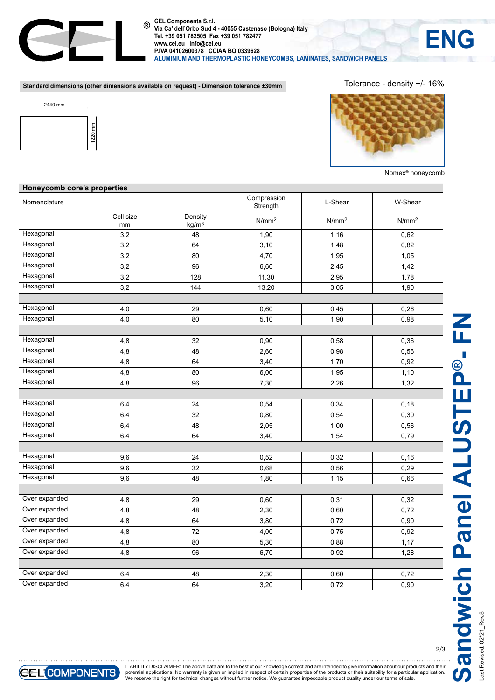

**CEL Components S.r.l.**   $^{\circledR}$ **Via Ca' dell'Orbo Sud 4 - 40055 Castenaso (Bologna) Italy Tel. +39 051 782505 Fax +39 051 782477 www.cel.eu info@cel.eu P.IVA 04102600378 CCIAA BO 0339628 ALUMINIUM AND THERMOPLASTIC HONEYCOMBS, LAMINATES, SANDWICH PANELS**

## **Standard dimensions (other dimensions available on request) - Dimension tolerance ±30mm** Tolerance - density +/- 16%



**CEL COMPONENTS** 



Nomex® honeycomb

**ENG**

| Honeycomb core's properties |                 |                              |                         |                   |                   |  |
|-----------------------------|-----------------|------------------------------|-------------------------|-------------------|-------------------|--|
| Nomenclature                |                 |                              | Compression<br>Strength | L-Shear           | W-Shear           |  |
|                             | Cell size<br>mm | Density<br>kg/m <sup>3</sup> | N/mm <sup>2</sup>       | N/mm <sup>2</sup> | N/mm <sup>2</sup> |  |
| Hexagonal                   | 3,2             | 48                           | 1,90                    | 1,16              | 0,62              |  |
| Hexagonal                   | 3,2             | 64                           | 3,10                    | 1,48              | 0,82              |  |
| Hexagonal                   | 3,2             | 80                           | 4,70                    | 1,95              | 1,05              |  |
| Hexagonal                   | 3,2             | 96                           | 6,60                    | 2,45              | 1,42              |  |
| Hexagonal                   | 3,2             | 128                          | 11,30                   | 2,95              | 1,78              |  |
| Hexagonal                   | 3,2             | 144                          | 13,20                   | 3,05              | 1,90              |  |
|                             |                 |                              |                         |                   |                   |  |
| Hexagonal                   | 4,0             | 29                           | 0,60                    | 0,45              | 0,26              |  |
| Hexagonal                   | 4,0             | 80                           | 5,10                    | 1,90              | 0,98              |  |
|                             |                 |                              |                         |                   |                   |  |
| Hexagonal                   | 4,8             | 32                           | 0,90                    | 0,58              | 0,36              |  |
| Hexagonal                   | 4,8             | 48                           | 2,60                    | 0,98              | 0,56              |  |
| Hexagonal                   | 4,8             | 64                           | 3,40                    | 1,70              | 0,92              |  |
| Hexagonal                   | 4,8             | 80                           | 6,00                    | 1,95              | 1,10              |  |
| Hexagonal                   | 4,8             | 96                           | 7,30                    | 2,26              | 1,32              |  |
|                             |                 |                              |                         |                   |                   |  |
| Hexagonal                   | 6,4             | 24                           | 0,54                    | 0,34              | 0,18              |  |
| Hexagonal                   | 6,4             | 32                           | 0,80                    | 0,54              | 0,30              |  |
| Hexagonal                   | 6,4             | 48                           | 2,05                    | 1,00              | 0,56              |  |
| Hexagonal                   | 6,4             | 64                           | 3,40                    | 1,54              | 0,79              |  |
|                             |                 |                              |                         |                   |                   |  |
| Hexagonal                   | 9,6             | 24                           | 0,52                    | 0,32              | 0,16              |  |
| Hexagonal                   | 9,6             | 32                           | 0,68                    | 0,56              | 0,29              |  |
| Hexagonal                   | 9,6             | 48                           | 1,80                    | 1,15              | 0,66              |  |
|                             |                 |                              |                         |                   |                   |  |
| Over expanded               | 4,8             | 29                           | 0,60                    | 0,31              | 0,32              |  |
| Over expanded               | 4,8             | 48                           | 2,30                    | 0,60              | 0,72              |  |
| Over expanded               | 4,8             | 64                           | 3,80                    | 0,72              | 0,90              |  |
| Over expanded               | 4,8             | 72                           | 4,00                    | 0,75              | 0,92              |  |
| Over expanded               | 4,8             | 80                           | 5,30                    | 0,88              | 1,17              |  |
| Over expanded               | 4,8<br>96       |                              | 6,70<br>0,92            |                   | 1,28              |  |
|                             |                 |                              |                         |                   |                   |  |
| Over expanded               | 6,4             | 48                           | 2,30                    | 0,60              | 0,72              |  |
| Over expanded               | 6,4             | 64                           | 3,20                    | 0,72              | 0,90              |  |

LIABILITY DISCLAIMER: The above data are to the best of our knowledge correct and are intended to give information about our products and their<br>potential applications. No warranty is given or implied in respect of certain

Last Revised: 02/21 Rev.8

ast Revised: 02/21\_Rev.8